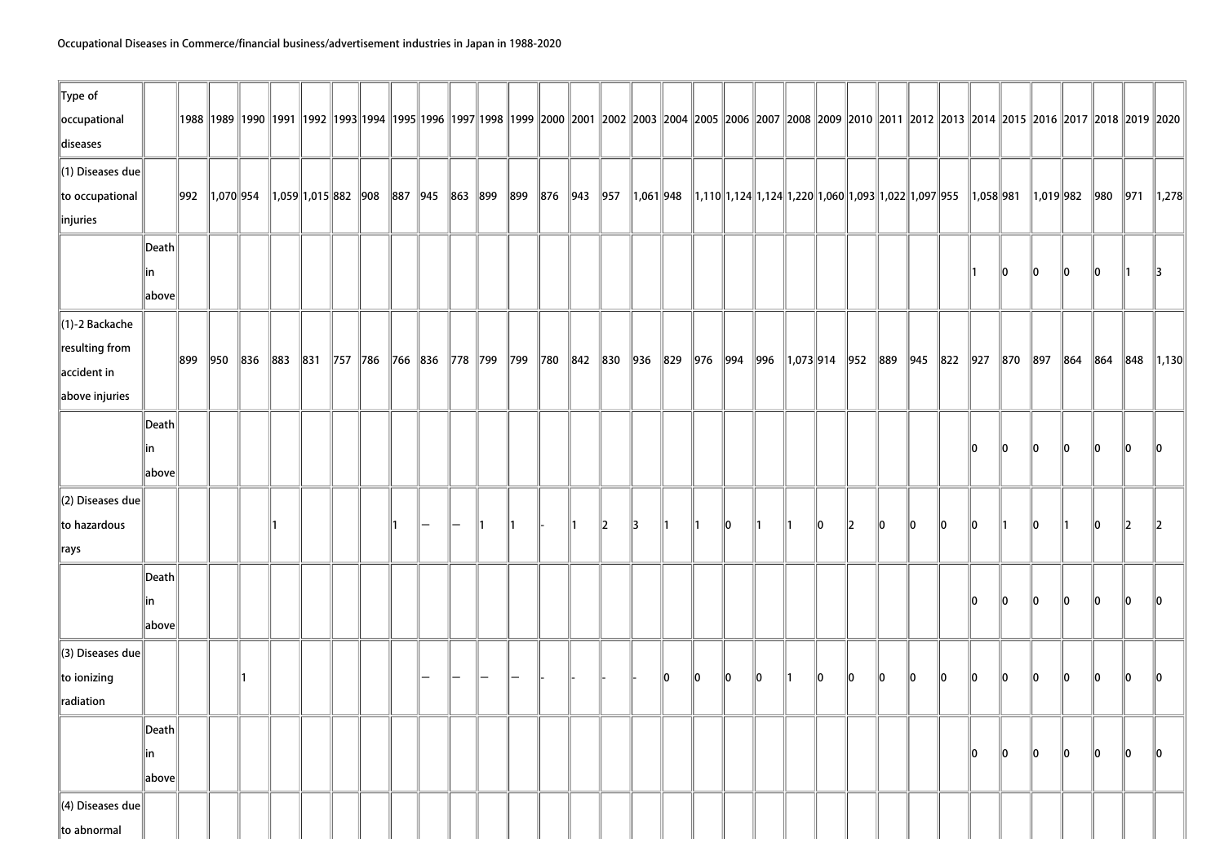| $\ $ Type of<br>occupational<br>diseases                               |                                 |     |              |                            |  |    |  |    |                                                                                         |              |    |               |     |     |     |    |                                                                                                                                                                                                   |         |    |      |      |                |      |                |    | 1998   1989   1990   1991   1992   1993   1994   1995   1996   1997   1998   1999   2000   2001   2002   2003   2004   2005   2006   2007   2008   2009   2010   2011   2012   2013   2014   2015   2016   2017   2018   2019 |               |           |
|------------------------------------------------------------------------|---------------------------------|-----|--------------|----------------------------|--|----|--|----|-----------------------------------------------------------------------------------------|--------------|----|---------------|-----|-----|-----|----|---------------------------------------------------------------------------------------------------------------------------------------------------------------------------------------------------|---------|----|------|------|----------------|------|----------------|----|-------------------------------------------------------------------------------------------------------------------------------------------------------------------------------------------------------------------------------|---------------|-----------|
| $\ $ (1) Diseases due<br>to occupational<br>$\ $ injuries              |                                 | 992 | 1,070 954    | $\ 1,059\ 1,015\ 882\ 908$ |  |    |  |    | 887  945  863  899  899  876  943  957                                                  |              |    |               |     |     |     |    | $\parallel$ 1,061 $\parallel$ 948 $\parallel$ 1,110 $\parallel$ 1,124 $\parallel$ 1,124 $\parallel$ 1,220 $\parallel$ 1,060 $\parallel$ 1,093 $\parallel$ 1,022 $\parallel$ 1,097 $\parallel$ 955 |         |    |      |      | $\ 1,058\ 981$ |      | $\ 1,019\ 982$ |    | 980 971                                                                                                                                                                                                                       |               | 1,278     |
|                                                                        | Death<br>∣in<br>$\ $ above $\ $ |     |              |                            |  |    |  |    |                                                                                         |              |    |               |     |     |     |    |                                                                                                                                                                                                   |         |    |      |      |                | 10   | 10             | 10 | 10                                                                                                                                                                                                                            | $\parallel$ 1 | 13        |
| $\ $ (1)-2 Backache<br>resulting from<br>accident in<br>above injuries |                                 | 899 | $\ 950\ 836$ | 883                        |  |    |  |    | 831   757   786   766   836   778   799   799   780   842   830   936   829   976   994 |              |    |               |     |     | 996 |    |                                                                                                                                                                                                   |         |    |      |      |                |      |                |    | $\parallel$ 1,073 914 952 889 945 822 927 870 897 864 864 848 11,130                                                                                                                                                          |               |           |
|                                                                        | Death<br>∥in<br>above           |     |              |                            |  |    |  |    |                                                                                         |              |    |               |     |     |     |    |                                                                                                                                                                                                   |         |    |      |      | 10             | 10   | 10             | 10 | 10                                                                                                                                                                                                                            | llo.          | llo.      |
| $\parallel$ (2) Diseases due<br>to hazardous<br>$\parallel$ rays       |                                 |     |              |                            |  | 11 |  | 11 |                                                                                         | $\mathbb{Z}$ | 13 | $\parallel$ 1 |     | 10  |     | 11 | 10                                                                                                                                                                                                | $\ 2\ $ | 10 | 10   | 10   | 10             | ∥1   | 10             | ∥1 | 10                                                                                                                                                                                                                            | $\ 2\ $       | $\vert$ 2 |
|                                                                        | Death<br> in<br>above           |     |              |                            |  |    |  |    |                                                                                         |              |    |               |     |     |     |    |                                                                                                                                                                                                   |         |    |      |      | 10             | 10   | lo.            | 10 | lo.                                                                                                                                                                                                                           | 10            | 10        |
| $\ $ (3) Diseases due<br>to ionizing<br>radiation                      |                                 |     |              |                            |  |    |  |    |                                                                                         |              |    | llo           | lo. | lo. | ۱o  |    | llo.                                                                                                                                                                                              | llo     | 10 | llo. | llo. | 10             | 10   | llo.           | ∥o | llo.                                                                                                                                                                                                                          | $\mathbf{I}$  | 10        |
|                                                                        | Death<br> in<br>$\ $ above $\ $ |     |              |                            |  |    |  |    |                                                                                         |              |    |               |     |     |     |    |                                                                                                                                                                                                   |         |    |      |      | 10             | llo. | llo.           | ∥o | llo.                                                                                                                                                                                                                          | llo.          | lo.       |
| $\ $ (4) Diseases due<br>to abnormal                                   |                                 |     |              |                            |  |    |  |    |                                                                                         |              |    |               |     |     |     |    |                                                                                                                                                                                                   |         |    |      |      |                |      |                |    |                                                                                                                                                                                                                               |               |           |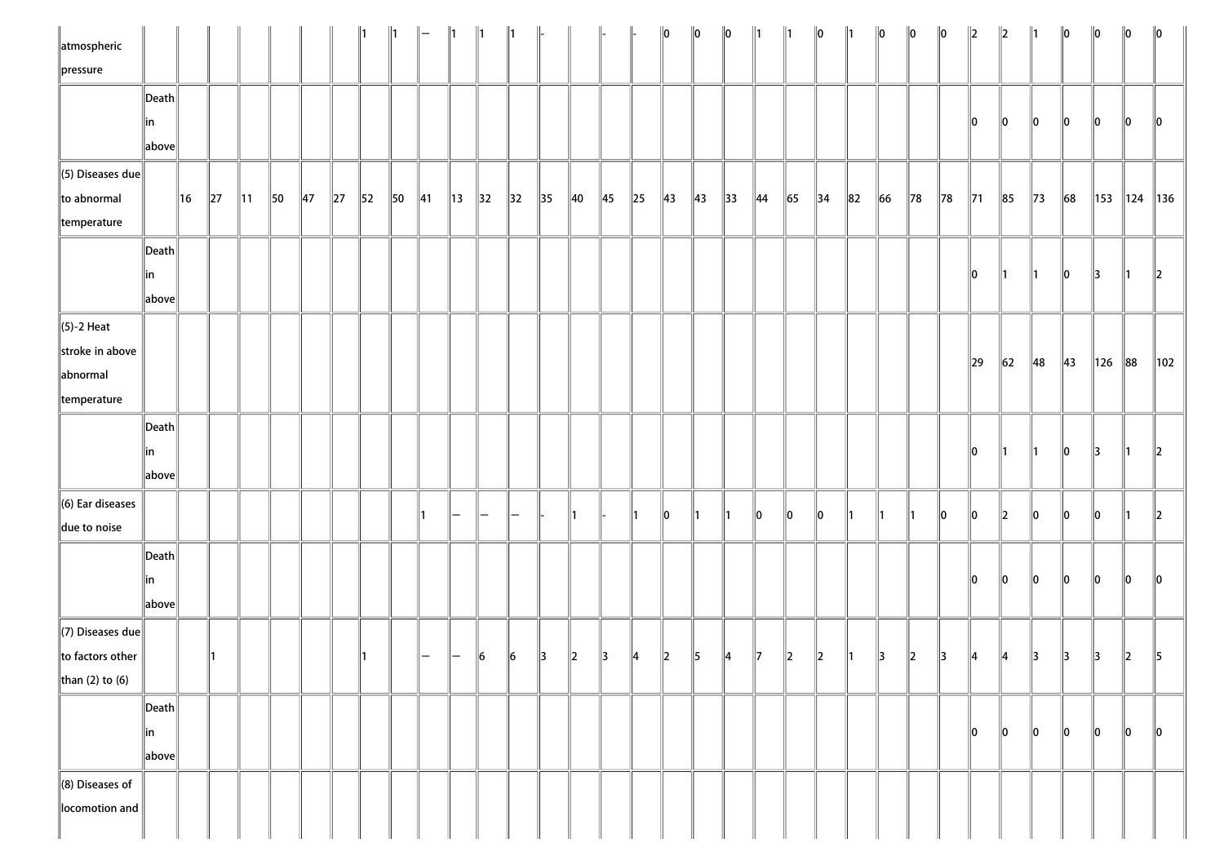| atmospheric<br>$\ $ pressure                                           |                       |     |            |                |                |                |            |                |    |                |    |               | 1                        |                |            |               |                       | $\ 0\ $ | $\ 0\ $ | $\ 0\ $        | $\parallel$ 1  |             | $\ _0$         |          | $\ 0\ $       | $\ 0\ $        | $\ 0\ $ | $\ 2\ $        | $\ 2\ $        | 1              | $\ 0\ $        | $\ 0\ $       | $\ 0\ $         | $\ 0\ $         |
|------------------------------------------------------------------------|-----------------------|-----|------------|----------------|----------------|----------------|------------|----------------|----|----------------|----|---------------|--------------------------|----------------|------------|---------------|-----------------------|---------|---------|----------------|----------------|-------------|----------------|----------|---------------|----------------|---------|----------------|----------------|----------------|----------------|---------------|-----------------|-----------------|
|                                                                        | Death<br> in<br>above |     |            |                |                |                |            |                |    |                |    |               |                          |                |            |               |                       |         |         |                |                |             |                |          |               |                |         | 10             | 10             | 10             | 10             | $\ 0\ $       | 10              | 10              |
| $\ $ (5) Diseases due<br>to abnormal<br>temperature                    |                       | ∥16 | $\vert$ 27 | $\parallel$ 11 | $\parallel$ 50 | $\parallel$ 47 | $\vert$ 27 | $\parallel$ 52 | 50 | $\parallel$ 41 | 13 | 32            | $\parallel$ 32           | $\parallel$ 35 | $\vert$ 40 | 45            | $\vert$ <sub>25</sub> | 43      | 43      | $\parallel$ 33 | $\parallel$ 44 | 65          | $\parallel$ 34 | $\ 82\ $ | $\ 66\ $      | $\parallel$ 78 | $\ $ 78 | $\parallel$ 71 | $\ 85$         | $\vert$ 73     | $\ 68$         | 153           | $\parallel$ 124 | $\parallel$ 136 |
|                                                                        | Death<br>∥in<br>above |     |            |                |                |                |            |                |    |                |    |               |                          |                |            |               |                       |         |         |                |                |             |                |          |               |                |         | 0              | $\parallel$ 1  | $\parallel$ 1  | 10             | $\parallel$ 3 | $\parallel$ 1   | $\ 2\ $         |
| $\ $ (5)-2 Heat<br>stroke in above<br>abnormal<br>temperature          |                       |     |            |                |                |                |            |                |    |                |    |               |                          |                |            |               |                       |         |         |                |                |             |                |          |               |                |         | $\ 29\ $       | $\parallel$ 62 | $\parallel$ 48 | $\parallel$ 43 | $\vert$ 126   | $\ 88$          | 102             |
|                                                                        | Death<br>∥in<br>above |     |            |                |                |                |            |                |    |                |    |               |                          |                |            |               |                       |         |         |                |                |             |                |          |               |                |         | 10             | ∥1             | $\parallel$ 1  | 10             | $\parallel$ 3 | ∥1              | $\ 2\ $         |
| $\ $ (6) Ear diseases<br>due to noise                                  |                       |     |            |                |                |                |            |                |    |                | —  | $\overline{}$ | $\overline{\phantom{0}}$ |                | ∥1         |               | T.                    | 10      |         |                | 10             | 10          | 10             |          |               |                | 10      | 10             | 12             | 10             | 10             | 10            |                 | $\ 2\ $         |
|                                                                        | Death<br>∥in<br>above |     |            |                |                |                |            |                |    |                |    |               |                          |                |            |               |                       |         |         |                |                |             |                |          |               |                |         | 0              | $\ 0\ $        | 0              | $\ 0\ $        | $ 0\rangle$   | $ 0\rangle$     | $\ 0\ $         |
| $\ $ (7) Diseases due $\ $<br>$\ $ to factors other<br>than (2) to (6) |                       |     |            |                |                |                |            |                |    | —              | —  | 16            | $\vert$ 6                | $\parallel$ 3  | $\ 2\ $    | $\parallel$ 3 | $\parallel 4$         | 2       | 15      | 14             | 117            | $ 2\rangle$ | $ 2\rangle$    |          | $\parallel$ 3 | 2              | 3       | $\parallel$ 4  | ∥4             | $\parallel$ 3  | 13             | $\parallel$ 3 | 2               | 15              |
|                                                                        | Death<br>∥in<br>above |     |            |                |                |                |            |                |    |                |    |               |                          |                |            |               |                       |         |         |                |                |             |                |          |               |                |         | 10             | 10             | 10             | 10             | $\ 0\ $       | llo.            | 10              |
| $\ $ (8) Diseases of<br>locomotion and                                 |                       |     |            |                |                |                |            |                |    |                |    |               |                          |                |            |               |                       |         |         |                |                |             |                |          |               |                |         |                |                |                |                |               |                 |                 |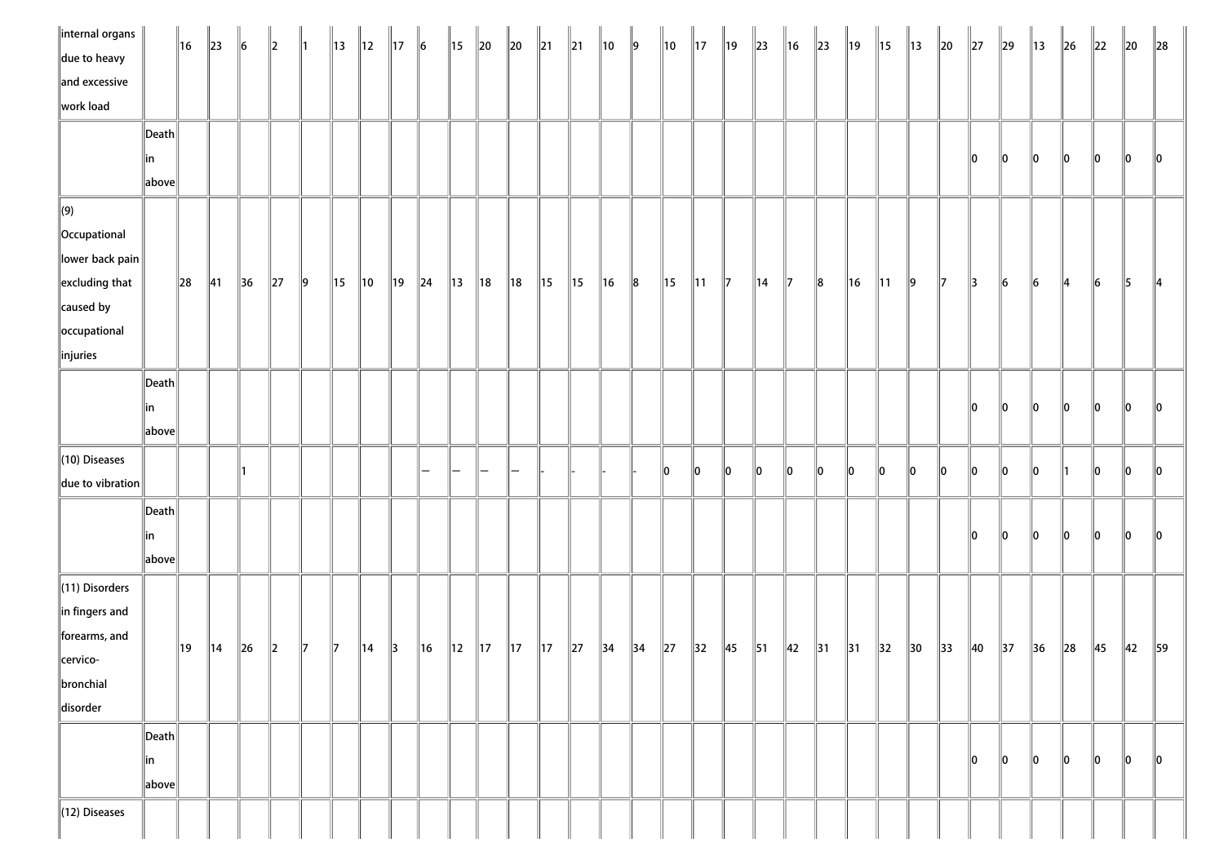| $\parallel$ internal organs $\parallel$ |                       | 16     | $\parallel$ 23 | $\ 6\ $        | $\parallel$ <sub>2</sub> | $\parallel$ 1 | 13 | ∥12            | $\parallel$ 17 | $\ 6\ $        | $\parallel$ 15 | $\ 20$         | $\ 20$         | $\parallel$ 21 | $\parallel$ 21 | ∥10            | $\parallel$ 9 | ∥10      | $\parallel$ 17 | ∥19            | $\parallel$ 23 | 16             | $\ 23\ $       | 19             | ∥15            | $\parallel$ 13 | $\ 20$         | $\ 27$        | $\parallel$ 29 | $\parallel$ 13 | $\ $ 26       | $\ 22\ $    | $\ 20$         | $\ 28$        |
|-----------------------------------------|-----------------------|--------|----------------|----------------|--------------------------|---------------|----|----------------|----------------|----------------|----------------|----------------|----------------|----------------|----------------|----------------|---------------|----------|----------------|----------------|----------------|----------------|----------------|----------------|----------------|----------------|----------------|---------------|----------------|----------------|---------------|-------------|----------------|---------------|
| due to heavy                            |                       |        |                |                |                          |               |    |                |                |                |                |                |                |                |                |                |               |          |                |                |                |                |                |                |                |                |                |               |                |                |               |             |                |               |
| and excessive                           |                       |        |                |                |                          |               |    |                |                |                |                |                |                |                |                |                |               |          |                |                |                |                |                |                |                |                |                |               |                |                |               |             |                |               |
| work load                               |                       |        |                |                |                          |               |    |                |                |                |                |                |                |                |                |                |               |          |                |                |                |                |                |                |                |                |                |               |                |                |               |             |                |               |
|                                         | Death                 |        |                |                |                          |               |    |                |                |                |                |                |                |                |                |                |               |          |                |                |                |                |                |                |                |                |                |               |                |                |               |             |                |               |
|                                         | ∥in                   |        |                |                |                          |               |    |                |                |                |                |                |                |                |                |                |               |          |                |                |                |                |                |                |                |                |                | 10            | 10             | $\ 0\ $        | 10            | 10          | $\ 0\ $        | $\parallel$ 0 |
|                                         | above                 |        |                |                |                          |               |    |                |                |                |                |                |                |                |                |                |               |          |                |                |                |                |                |                |                |                |                |               |                |                |               |             |                |               |
| $\Vert(9)\Vert$                         |                       |        |                |                |                          |               |    |                |                |                |                |                |                |                |                |                |               |          |                |                |                |                |                |                |                |                |                |               |                |                |               |             |                |               |
| Occupational                            |                       |        |                |                |                          |               |    |                |                |                |                |                |                |                |                |                |               |          |                |                |                |                |                |                |                |                |                |               |                |                |               |             |                |               |
| $\ $ lower back pain                    |                       |        |                |                |                          |               |    |                |                |                |                |                |                |                |                |                |               |          |                |                |                |                |                |                |                |                |                |               |                |                |               |             |                |               |
| $\left\ $ excluding that                |                       | $\ 28$ | $\parallel$ 41 | $\parallel$ 36 | $\vert$ 27               | $\parallel$ 9 | 15 | ∥10            | $\parallel$ 19 | $\ $ 24        | $\parallel$ 13 | $\parallel$ 18 | $\parallel$ 18 | $\parallel$ 15 | $\parallel$ 15 | $\ $ 16        | $\ 8$         | ∥15      | $\parallel$ 11 | $\parallel$ 7  | $\parallel$ 14 | $\parallel$ 7  | $\ 8$          | $\ $ 16        | $\parallel$ 11 | $\parallel$ 9  | $\parallel$ 7  | $\parallel$ 3 | $\ 6\ $        | $\vert$ 6      | $\parallel$ 4 | $\vert$ 6   | $\parallel$ 5  | $\parallel$ 4 |
| $\ $ caused by                          |                       |        |                |                |                          |               |    |                |                |                |                |                |                |                |                |                |               |          |                |                |                |                |                |                |                |                |                |               |                |                |               |             |                |               |
| occupational                            |                       |        |                |                |                          |               |    |                |                |                |                |                |                |                |                |                |               |          |                |                |                |                |                |                |                |                |                |               |                |                |               |             |                |               |
| $\ $ injuries                           |                       |        |                |                |                          |               |    |                |                |                |                |                |                |                |                |                |               |          |                |                |                |                |                |                |                |                |                |               |                |                |               |             |                |               |
|                                         | $\vert$ Death $\vert$ |        |                |                |                          |               |    |                |                |                |                |                |                |                |                |                |               |          |                |                |                |                |                |                |                |                |                |               |                |                |               |             |                |               |
|                                         | in                    |        |                |                |                          |               |    |                |                |                |                |                |                |                |                |                |               |          |                |                |                |                |                |                |                |                |                | 0             | $\ 0\ $        | $ 0\rangle$    | $ 0\rangle$   | $ 0\rangle$ | $ 0\rangle$    | $\ 0\ $       |
|                                         | $\ $ above $\ $       |        |                |                |                          |               |    |                |                |                |                |                |                |                |                |                |               |          |                |                |                |                |                |                |                |                |                |               |                |                |               |             |                |               |
| $\ $ (10) Diseases                      |                       |        |                |                |                          |               |    |                |                |                |                |                |                |                |                |                |               |          |                |                |                |                |                |                |                |                |                |               |                |                |               |             |                |               |
| $\ $ due to vibration                   |                       |        |                |                |                          |               |    |                |                |                |                |                |                |                |                |                |               | 10       | 10             | 10             | 10             | 10             | lo.            | lo.            | llo            | 10             | 10             | $\ 0\ $       | 10             | 10             |               | 10          | 10             | 10            |
|                                         | Death                 |        |                |                |                          |               |    |                |                |                |                |                |                |                |                |                |               |          |                |                |                |                |                |                |                |                |                |               |                |                |               |             |                |               |
|                                         | in                    |        |                |                |                          |               |    |                |                |                |                |                |                |                |                |                |               |          |                |                |                |                |                |                |                |                |                | 10            | 10             | $\parallel$ 0  | 10            | 10          | 10             | 10            |
|                                         | above                 |        |                |                |                          |               |    |                |                |                |                |                |                |                |                |                |               |          |                |                |                |                |                |                |                |                |                |               |                |                |               |             |                |               |
| $\ $ (11) Disorders                     |                       |        |                |                |                          |               |    |                |                |                |                |                |                |                |                |                |               |          |                |                |                |                |                |                |                |                |                |               |                |                |               |             |                |               |
| $\ $ in fingers and                     |                       |        |                |                |                          |               |    |                |                |                |                |                |                |                |                |                |               |          |                |                |                |                |                |                |                |                |                |               |                |                |               |             |                |               |
| forearms, and                           |                       |        |                |                |                          |               |    |                |                |                |                |                |                |                |                |                |               |          |                |                |                |                |                |                |                |                |                |               |                |                |               |             |                |               |
| cervico-                                |                       | ∥19    | $\parallel$ 14 | $\ 26$         | $\ 2\ $                  | $\parallel$ 7 | 17 | $\parallel$ 14 | $\parallel$ 3  | $\parallel$ 16 | $\parallel$ 12 | $\parallel$ 17 | $\parallel$ 17 | $\parallel$ 17 | 27             | $\parallel$ 34 | $\vert$ 34    | $\ 27\ $ | $\vert$ 32     | $\parallel$ 45 | $\parallel$ 51 | $\parallel$ 42 | $\parallel$ 31 | $\parallel$ 31 | $\parallel$ 32 | $\parallel$ 30 | $\parallel$ 33 | $\vert$ 40    | $\parallel$ 37 | $\vert$ 36     | $\ 28$        | 45          | $\parallel$ 42 | 59            |
| bronchial                               |                       |        |                |                |                          |               |    |                |                |                |                |                |                |                |                |                |               |          |                |                |                |                |                |                |                |                |                |               |                |                |               |             |                |               |
| disorder                                |                       |        |                |                |                          |               |    |                |                |                |                |                |                |                |                |                |               |          |                |                |                |                |                |                |                |                |                |               |                |                |               |             |                |               |
|                                         | Death                 |        |                |                |                          |               |    |                |                |                |                |                |                |                |                |                |               |          |                |                |                |                |                |                |                |                |                |               |                |                |               |             |                |               |
|                                         | in                    |        |                |                |                          |               |    |                |                |                |                |                |                |                |                |                |               |          |                |                |                |                |                |                |                |                |                | 10            | $\parallel$ 0  | $\parallel$ 0  | 10            | 10          | 10             | 10            |
|                                         | above                 |        |                |                |                          |               |    |                |                |                |                |                |                |                |                |                |               |          |                |                |                |                |                |                |                |                |                |               |                |                |               |             |                |               |
| $\ $ (12) Diseases                      |                       |        |                |                |                          |               |    |                |                |                |                |                |                |                |                |                |               |          |                |                |                |                |                |                |                |                |                |               |                |                |               |             |                |               |
|                                         |                       |        |                |                |                          |               |    |                |                |                |                |                |                |                |                |                |               |          |                |                |                |                |                |                |                |                |                |               |                |                |               |             |                |               |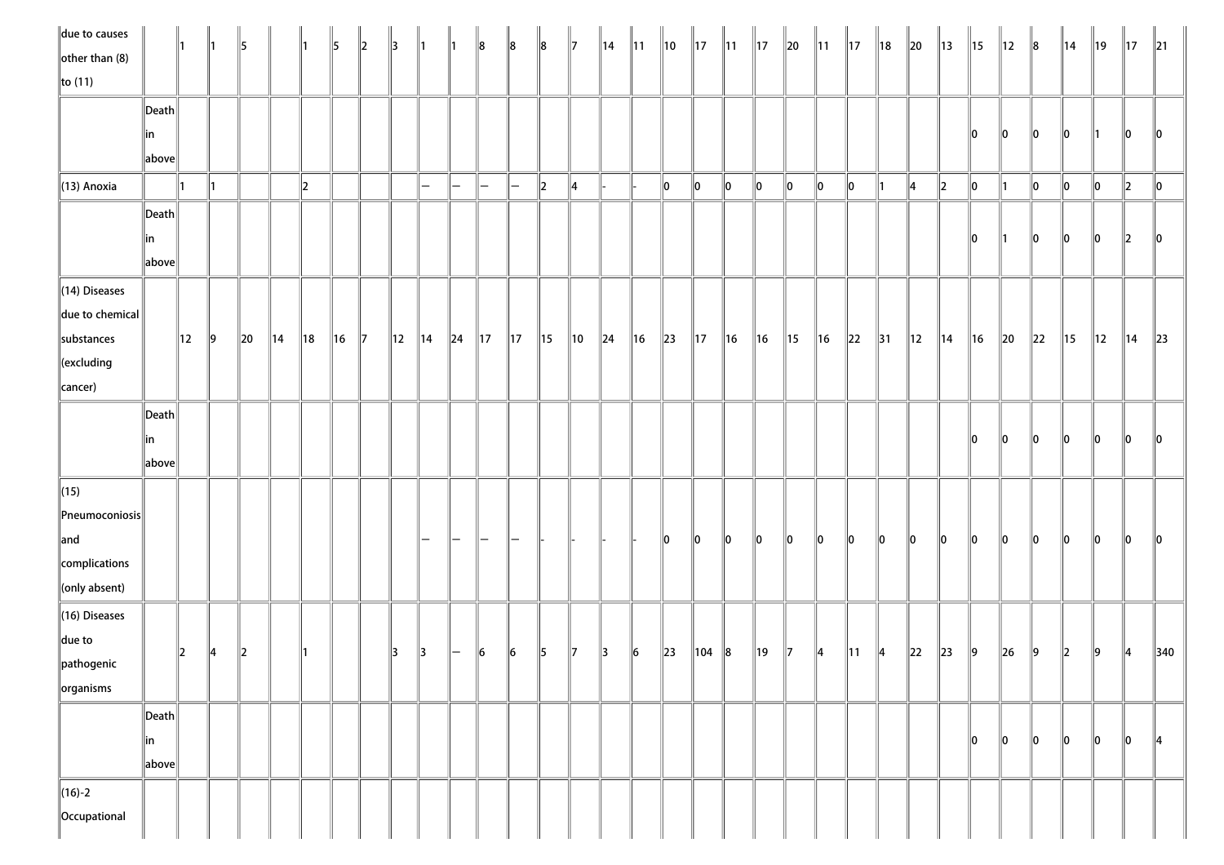| $\parallel$ due to causes   |                       | ∥1             |           | 15            |                | ∥1             | 15             | 12           | 13 | $\parallel$ 1            | ∥1 | $\ 8$                    | $\ 8$          | 8              | $\parallel$ 7  | ∥14    | $\parallel$ 11 | ∥10      | $\parallel$ 17 | $\parallel$ 11 | $\parallel$ 17 | $\ 20\ $  | $\parallel$ 11 | $\parallel$ 17 | 18             | $\ 20\ $       | $\parallel$ 13 | $\parallel$ 15 | $\parallel$ 12 | $\ 8$       | $\parallel$ 14 | 19             | $\parallel$ 17 | $\parallel$ 21 |
|-----------------------------|-----------------------|----------------|-----------|---------------|----------------|----------------|----------------|--------------|----|--------------------------|----|--------------------------|----------------|----------------|----------------|--------|----------------|----------|----------------|----------------|----------------|-----------|----------------|----------------|----------------|----------------|----------------|----------------|----------------|-------------|----------------|----------------|----------------|----------------|
| $\left\Vert$ other than (8) |                       |                |           |               |                |                |                |              |    |                          |    |                          |                |                |                |        |                |          |                |                |                |           |                |                |                |                |                |                |                |             |                |                |                |                |
| $\ $ to (11)                |                       |                |           |               |                |                |                |              |    |                          |    |                          |                |                |                |        |                |          |                |                |                |           |                |                |                |                |                |                |                |             |                |                |                |                |
|                             | $\ $ Death            |                |           |               |                |                |                |              |    |                          |    |                          |                |                |                |        |                |          |                |                |                |           |                |                |                |                |                |                |                |             |                |                |                |                |
|                             | in                    |                |           |               |                |                |                |              |    |                          |    |                          |                |                |                |        |                |          |                |                |                |           |                |                |                |                |                | 10             | 10             | $ 0\rangle$ | 10             | 11             | 10             | 10             |
|                             | above                 |                |           |               |                |                |                |              |    |                          |    |                          |                |                |                |        |                |          |                |                |                |           |                |                |                |                |                |                |                |             |                |                |                |                |
| $\ $ (13) Anoxia            |                       | ∥1             |           |               |                | $\ 2\ $        |                |              |    | $\qquad \qquad$          | —  | $\overline{\phantom{m}}$ | l —            | $\ 2\ $        | 14             |        |                | 10       | 10             | 10             | 10             | 10        | $\ 0\ $        | ∥o             | ∥1             | $\parallel$ 4  | $\ 2\ $        | 0              |                | 10          | 10             | 10             | $ 2\rangle$    | 10             |
|                             | $\vert$ Death $\vert$ |                |           |               |                |                |                |              |    |                          |    |                          |                |                |                |        |                |          |                |                |                |           |                |                |                |                |                |                |                |             |                |                |                |                |
|                             | in                    |                |           |               |                |                |                |              |    |                          |    |                          |                |                |                |        |                |          |                |                |                |           |                |                |                |                |                | 10             | ∥1             | $ 0\rangle$ | 10             | 10             | $\parallel$ 2  | $\parallel$ 0  |
|                             | above                 |                |           |               |                |                |                |              |    |                          |    |                          |                |                |                |        |                |          |                |                |                |           |                |                |                |                |                |                |                |             |                |                |                |                |
| $\ $ (14) Diseases          |                       |                |           |               |                |                |                |              |    |                          |    |                          |                |                |                |        |                |          |                |                |                |           |                |                |                |                |                |                |                |             |                |                |                |                |
| $\ $ due to chemical        |                       |                |           |               |                |                |                |              |    |                          |    |                          |                |                |                |        |                |          |                |                |                |           |                |                |                |                |                |                |                |             |                |                |                |                |
| substances                  |                       | $\parallel$ 12 | $\vert$ 9 | $\ 20$        | $\parallel$ 14 | $\parallel$ 18 | $\parallel$ 16 | $\mathbb{I}$ | 12 | $\parallel$ 14           | 24 | $\parallel$ 17           | $\parallel$ 17 | $\parallel$ 15 | $\parallel$ 10 | $\ 24$ | $\ $ 16        | $\ 23\ $ | $\parallel$ 17 | $\parallel$ 16 | $\parallel$ 16 | 15        | ∥16            | $\parallel$ 22 | $\parallel$ 31 | $\parallel$ 12 | $\parallel$ 14 | $\ $ 16        | $\ 20\ $       | $\ 22\ $    | 15             | $\parallel$ 12 | $\parallel$ 14 | $\ 23\ $       |
| $\ $ (excluding             |                       |                |           |               |                |                |                |              |    |                          |    |                          |                |                |                |        |                |          |                |                |                |           |                |                |                |                |                |                |                |             |                |                |                |                |
| cancer)                     |                       |                |           |               |                |                |                |              |    |                          |    |                          |                |                |                |        |                |          |                |                |                |           |                |                |                |                |                |                |                |             |                |                |                |                |
|                             | $\vert$ Death $\vert$ |                |           |               |                |                |                |              |    |                          |    |                          |                |                |                |        |                |          |                |                |                |           |                |                |                |                |                |                |                |             |                |                |                |                |
|                             | in                    |                |           |               |                |                |                |              |    |                          |    |                          |                |                |                |        |                |          |                |                |                |           |                |                |                |                |                | 10             | $\parallel$ 0  | $ 0\rangle$ | $\mathbf{0}$   | $\ 0\ $        | $ 0\rangle$    | $ 0\rangle$    |
|                             | above                 |                |           |               |                |                |                |              |    |                          |    |                          |                |                |                |        |                |          |                |                |                |           |                |                |                |                |                |                |                |             |                |                |                |                |
| $\ $ (15)                   |                       |                |           |               |                |                |                |              |    |                          |    |                          |                |                |                |        |                |          |                |                |                |           |                |                |                |                |                |                |                |             |                |                |                |                |
| $\ $ Pneumoconiosis $\ $    |                       |                |           |               |                |                |                |              |    |                          |    |                          |                |                |                |        |                |          |                |                |                |           |                |                |                |                |                |                |                |             |                |                |                |                |
| $\parallel$ and             |                       |                |           |               |                |                |                |              |    | $\overline{\phantom{m}}$ | —  | $\overline{\phantom{m}}$ |                |                |                |        |                | 10       | 10             | 10             | 10             | 10        | 10             | 10             | llo            | 10             | 10             | <b>O</b>       | $\parallel$ 0  | 10          | 10             | <b>O</b>       | 10             | 110            |
| complications               |                       |                |           |               |                |                |                |              |    |                          |    |                          |                |                |                |        |                |          |                |                |                |           |                |                |                |                |                |                |                |             |                |                |                |                |
| $\ $ (only absent)          |                       |                |           |               |                |                |                |              |    |                          |    |                          |                |                |                |        |                |          |                |                |                |           |                |                |                |                |                |                |                |             |                |                |                |                |
| $\ $ (16) Diseases          |                       |                |           |               |                |                |                |              |    |                          |    |                          |                |                |                |        |                |          |                |                |                |           |                |                |                |                |                |                |                |             |                |                |                |                |
| $\ $ due to                 |                       |                |           |               |                |                |                |              |    |                          |    |                          |                |                |                |        |                |          |                |                |                |           |                |                |                |                |                |                |                |             |                |                |                |                |
| $\ $ pathogenic             |                       | $\parallel$    | 14        | $\parallel$ 2 |                | ∥1             |                |              | 13 | $\parallel$ 3            | —  | 6                        | $\vert$ 6      | 5              | $\parallel$ 7  | 13     | 16             | $\ 23\ $ | 104            | $\ 8$          | ∥19            | $\vert$ 7 | 14             | $\parallel$ 11 | 4              | $\ 22\ $       | $\ $ 23        | $\vert$ 9      | $\ $ 26        | $\vert$ 9   | $\ 2\ $        | 9              | 14             | $\vert$ 340    |
| $\left\Vert$ organisms      |                       |                |           |               |                |                |                |              |    |                          |    |                          |                |                |                |        |                |          |                |                |                |           |                |                |                |                |                |                |                |             |                |                |                |                |
|                             | $\vert$ Death $\vert$ |                |           |               |                |                |                |              |    |                          |    |                          |                |                |                |        |                |          |                |                |                |           |                |                |                |                |                |                |                |             |                |                |                |                |
|                             | in                    |                |           |               |                |                |                |              |    |                          |    |                          |                |                |                |        |                |          |                |                |                |           |                |                |                |                |                | 10             | 10             | 10          | 10             | 10             | 10             | ∥4             |
|                             | above                 |                |           |               |                |                |                |              |    |                          |    |                          |                |                |                |        |                |          |                |                |                |           |                |                |                |                |                |                |                |             |                |                |                |                |
| $\ $ (16)-2                 |                       |                |           |               |                |                |                |              |    |                          |    |                          |                |                |                |        |                |          |                |                |                |           |                |                |                |                |                |                |                |             |                |                |                |                |
| Occupational                |                       |                |           |               |                |                |                |              |    |                          |    |                          |                |                |                |        |                |          |                |                |                |           |                |                |                |                |                |                |                |             |                |                |                |                |
|                             |                       |                |           |               |                |                |                |              |    |                          |    |                          |                |                |                |        |                |          |                |                |                |           |                |                |                |                |                |                |                |             |                |                |                |                |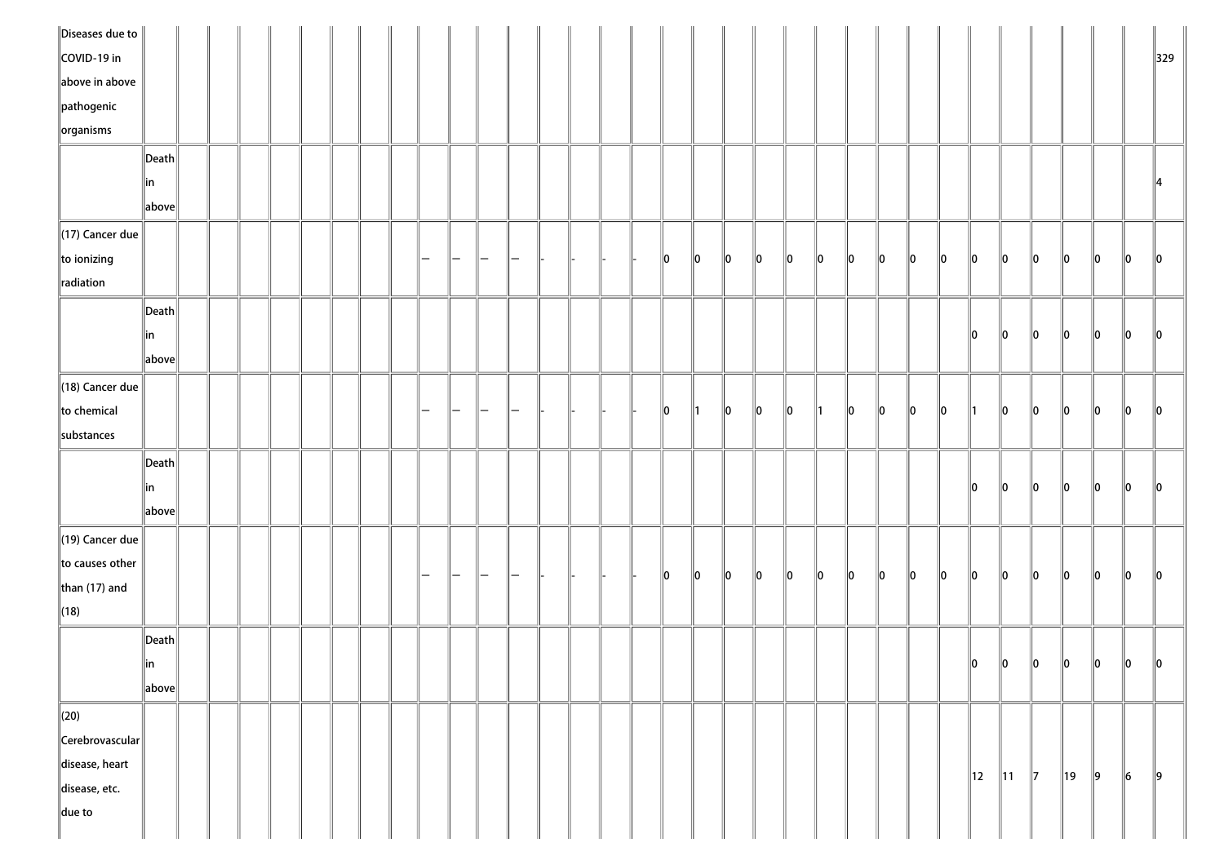| $\ $ Diseases due to $\ $ |                       |  |  |  |  |  |  |  |  |    |    |    |    |    |     |     |         |          |               |             |                |               |               |               |             |               |
|---------------------------|-----------------------|--|--|--|--|--|--|--|--|----|----|----|----|----|-----|-----|---------|----------|---------------|-------------|----------------|---------------|---------------|---------------|-------------|---------------|
| COVID-19 in               |                       |  |  |  |  |  |  |  |  |    |    |    |    |    |     |     |         |          |               |             |                |               |               |               |             | 329           |
| above in above            |                       |  |  |  |  |  |  |  |  |    |    |    |    |    |     |     |         |          |               |             |                |               |               |               |             |               |
| $\ $ pathogenic           |                       |  |  |  |  |  |  |  |  |    |    |    |    |    |     |     |         |          |               |             |                |               |               |               |             |               |
| $\left\Vert$ organisms    |                       |  |  |  |  |  |  |  |  |    |    |    |    |    |     |     |         |          |               |             |                |               |               |               |             |               |
|                           | $\ $ Death            |  |  |  |  |  |  |  |  |    |    |    |    |    |     |     |         |          |               |             |                |               |               |               |             |               |
|                           | ∥in                   |  |  |  |  |  |  |  |  |    |    |    |    |    |     |     |         |          |               |             |                |               |               |               |             | 14            |
|                           | above                 |  |  |  |  |  |  |  |  |    |    |    |    |    |     |     |         |          |               |             |                |               |               |               |             |               |
| $\ $ (17) Cancer due      |                       |  |  |  |  |  |  |  |  |    |    |    |    |    |     |     |         |          |               |             |                |               |               |               |             |               |
| $\ $ to ionizing          |                       |  |  |  |  |  |  |  |  | 10 | 10 | 10 | 10 | 10 | ∥o  | llo | $\ 0\ $ | 0        | $\parallel$ 0 | $ 0\rangle$ | $\mathbf{I}$   | $ 0\rangle$   | $ 0\rangle$   | $\ 0\ $       | $ 0\rangle$ | 10            |
| radiation                 |                       |  |  |  |  |  |  |  |  |    |    |    |    |    |     |     |         |          |               |             |                |               |               |               |             |               |
|                           | $\vert$ Death $\vert$ |  |  |  |  |  |  |  |  |    |    |    |    |    |     |     |         |          |               |             |                |               |               |               |             |               |
|                           | ∥in                   |  |  |  |  |  |  |  |  |    |    |    |    |    |     |     |         |          |               | 10          | $\parallel$ 0  | 10            | $\parallel$ 0 | ∥0            | $\ 0\ $     | $\parallel$ 0 |
|                           | above                 |  |  |  |  |  |  |  |  |    |    |    |    |    |     |     |         |          |               |             |                |               |               |               |             |               |
| $\ $ (18) Cancer due      |                       |  |  |  |  |  |  |  |  |    |    |    |    |    |     |     |         |          |               |             |                |               |               |               |             |               |
| to chemical               |                       |  |  |  |  |  |  |  |  | 10 |    | 10 | 10 | 10 | 11  | 10  | 10      | <b>O</b> | $\parallel$ 0 |             | 10             | 10            | 10            | 10            | 0           | 10            |
| substances                |                       |  |  |  |  |  |  |  |  |    |    |    |    |    |     |     |         |          |               |             |                |               |               |               |             |               |
|                           | $\ $ Death $\ $       |  |  |  |  |  |  |  |  |    |    |    |    |    |     |     |         |          |               |             |                |               |               |               |             |               |
|                           | ∥in                   |  |  |  |  |  |  |  |  |    |    |    |    |    |     |     |         |          |               | 10          | 10             | 10            | 10            | 10            | <b>O</b>    | 10            |
|                           | $\ $ above $\ $       |  |  |  |  |  |  |  |  |    |    |    |    |    |     |     |         |          |               |             |                |               |               |               |             |               |
| $\ $ (19) Cancer due      |                       |  |  |  |  |  |  |  |  |    |    |    |    |    |     |     |         |          |               |             |                |               |               |               |             |               |
| $\ $ to causes other      |                       |  |  |  |  |  |  |  |  |    |    |    |    |    |     |     |         |          |               |             |                |               |               |               |             |               |
| than $(17)$ and           |                       |  |  |  |  |  |  |  |  | 10 | 10 | 10 | 10 | 10 | llo | 10  | 10      | <b>O</b> | $\mathbf{I}$  | 10          | 10             | 10            | 10            | 10            | $\ 0\ $     | 10            |
| $\ $ (18)                 |                       |  |  |  |  |  |  |  |  |    |    |    |    |    |     |     |         |          |               |             |                |               |               |               |             |               |
|                           | $\ $ Death            |  |  |  |  |  |  |  |  |    |    |    |    |    |     |     |         |          |               |             |                |               |               |               |             |               |
|                           | ∥in                   |  |  |  |  |  |  |  |  |    |    |    |    |    |     |     |         |          |               | 0           | $\ 0\ $        | $\ 0\ $       | $\ 0\ $       | $\parallel$ 0 | $\ 0\ $     | 10            |
|                           | above                 |  |  |  |  |  |  |  |  |    |    |    |    |    |     |     |         |          |               |             |                |               |               |               |             |               |
| $\parallel$ (20)          |                       |  |  |  |  |  |  |  |  |    |    |    |    |    |     |     |         |          |               |             |                |               |               |               |             |               |
| $\ $ Cerebrovascular $\ $ |                       |  |  |  |  |  |  |  |  |    |    |    |    |    |     |     |         |          |               |             |                |               |               |               |             |               |
| disease, heart            |                       |  |  |  |  |  |  |  |  |    |    |    |    |    |     |     |         |          |               |             |                |               |               |               |             |               |
| $\parallel$ disease, etc. |                       |  |  |  |  |  |  |  |  |    |    |    |    |    |     |     |         |          |               | 12          | $\parallel$ 11 | $\parallel$ 7 | 19            | $\vert$ 9     | $\vert$ 6   | $\ 9\ $       |
| $\ $ due to               |                       |  |  |  |  |  |  |  |  |    |    |    |    |    |     |     |         |          |               |             |                |               |               |               |             |               |
|                           |                       |  |  |  |  |  |  |  |  |    |    |    |    |    |     |     |         |          |               |             |                |               |               |               |             |               |